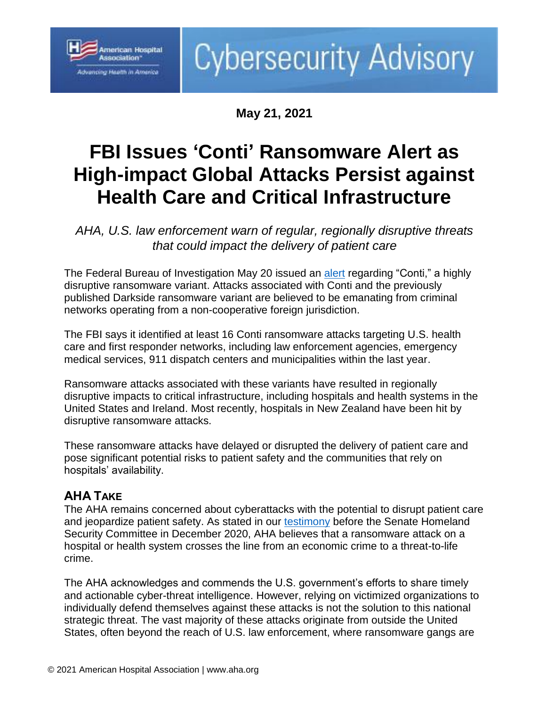

# **Cybersecurity Advisory**

**May 21, 2021**

## **FBI Issues 'Conti' Ransomware Alert as High-impact Global Attacks Persist against Health Care and Critical Infrastructure**

*AHA, U.S. law enforcement warn of regular, regionally disruptive threats that could impact the delivery of patient care*

The Federal Bureau of Investigation May 20 issued an [alert](https://www.aha.org/fbi-tlp-alert/2021-05-20-fbi-tlp-white-flash-report-conti-ransomware-attacks-impact-healthcare-and) regarding "Conti," a highly disruptive ransomware variant. Attacks associated with Conti and the previously published Darkside ransomware variant are believed to be emanating from criminal networks operating from a non-cooperative foreign jurisdiction.

The FBI says it identified at least 16 Conti ransomware attacks targeting U.S. health care and first responder networks, including law enforcement agencies, emergency medical services, 911 dispatch centers and municipalities within the last year.

Ransomware attacks associated with these variants have resulted in regionally disruptive impacts to critical infrastructure, including hospitals and health systems in the United States and Ireland. Most recently, hospitals in New Zealand have been hit by disruptive ransomware attacks.

These ransomware attacks have delayed or disrupted the delivery of patient care and pose significant potential risks to patient safety and the communities that rely on hospitals' availability.

### **AHA TAKE**

The AHA remains concerned about cyberattacks with the potential to disrupt patient care and jeopardize patient safety. As stated in our [testimony](https://www.aha.org/testimony/2020-12-03-aha-testimony-senate-hearing-cyber-threats-amid-pandemic) before the Senate Homeland Security Committee in December 2020, AHA believes that a ransomware attack on a hospital or health system crosses the line from an economic crime to a threat-to-life crime.

The AHA acknowledges and commends the U.S. government's efforts to share timely and actionable cyber-threat intelligence. However, relying on victimized organizations to individually defend themselves against these attacks is not the solution to this national strategic threat. The vast majority of these attacks originate from outside the United States, often beyond the reach of U.S. law enforcement, where ransomware gangs are